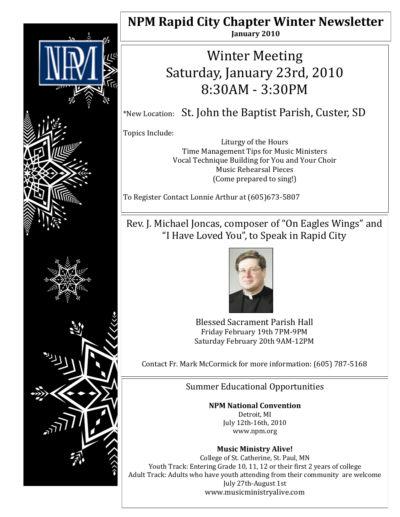

## **NPM Rapid City Chapter Winter Newsletter January 2010**

# Winter Meeting Saturday, January 23rd, 2010 8:30AM - 3:30PM

\*New Location: St. John the Baptist Parish, Custer, SD

Topics Include:

Liturgy of the Hours Time Management Tips for Music Ministers Vocal Technique Building for You and Your Choir Music Rehearsal Pieces (Come prepared to sing!)

To Register Contact Lonnie Arthur at (605)673-5807

## Rev. J. Michael Joncas, composer of "On Eagles Wings" and "I Have Loved You", to Speak in Rapid City



Blessed Sacrament Parish Hall Friday February 19th 7PM-9PM Saturday February 20th 9AM-12PM

Contact Fr. Mark McCormick for more information: (605) 787-5168

Summer Educational Opportunities

### **NPM National Convention**

Detroit, MI July 12th-16th, 2010 www.npm.org

### **Music Ministry Alive!**

College of St. Catherine, St. Paul, MN Youth Track: Entering Grade 10, 11, 12 or their first 2 years of college Adult Track: Adults who have youth attending from their community are welcome July 27th-August 1st www.musicministryalive.com